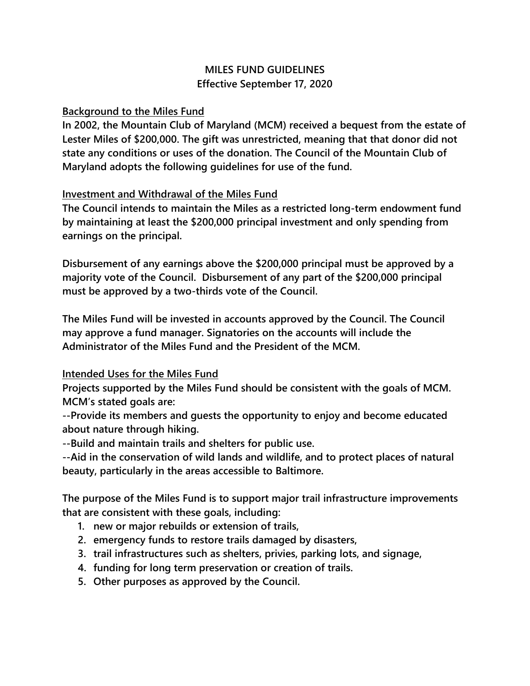## **MILES FUND GUIDELINES Effective September 17, 2020**

## **Background to the Miles Fund**

**In 2002, the Mountain Club of Maryland (MCM) received a bequest from the estate of Lester Miles of \$200,000. The gift was unrestricted, meaning that that donor did not state any conditions or uses of the donation. The Council of the Mountain Club of Maryland adopts the following guidelines for use of the fund.**

## **Investment and Withdrawal of the Miles Fund**

**The Council intends to maintain the Miles as a restricted long-term endowment fund by maintaining at least the \$200,000 principal investment and only spending from earnings on the principal.** 

**Disbursement of any earnings above the \$200,000 principal must be approved by a majority vote of the Council. Disbursement of any part of the \$200,000 principal must be approved by a two-thirds vote of the Council.** 

**The Miles Fund will be invested in accounts approved by the Council. The Council may approve a fund manager. Signatories on the accounts will include the Administrator of the Miles Fund and the President of the MCM.**

## **Intended Uses for the Miles Fund**

**Projects supported by the Miles Fund should be consistent with the goals of MCM. MCM's stated goals are:**

**--Provide its members and guests the opportunity to enjoy and become educated about nature through hiking.**

**--Build and maintain trails and shelters for public use.** 

**--Aid in the conservation of wild lands and wildlife, and to protect places of natural beauty, particularly in the areas accessible to Baltimore.**

**The purpose of the Miles Fund is to support major trail infrastructure improvements that are consistent with these goals, including:** 

- **1. new or major rebuilds or extension of trails,**
- **2. emergency funds to restore trails damaged by disasters,**
- **3. trail infrastructures such as shelters, privies, parking lots, and signage,**
- **4. funding for long term preservation or creation of trails.**
- **5. Other purposes as approved by the Council.**